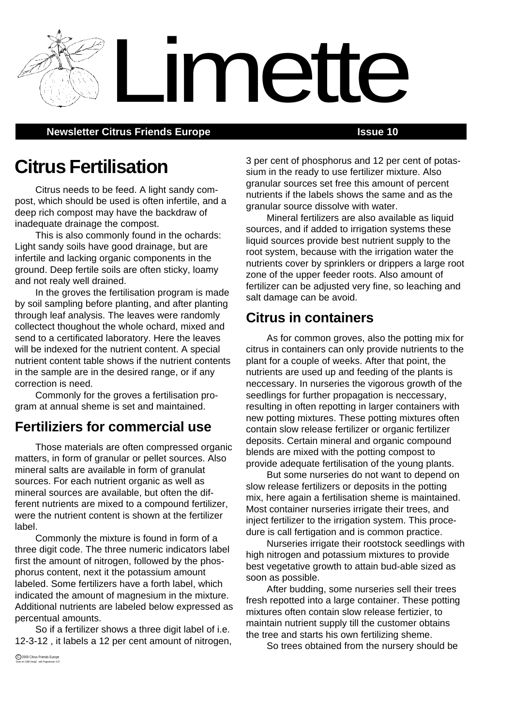**Newsletter Citrus Friends Europe <b>ISSUE 10 ISSUE 10** 

# **Citrus Fertilisation**

Citrus needs to be feed. A light sandy compost, which should be used is often infertile, and a deep rich compost may have the backdraw of inadequate drainage the compost.

This is also commonly found in the ochards: Light sandy soils have good drainage, but are infertile and lacking organic components in the ground. Deep fertile soils are often sticky, loamy and not realy well drained.

In the groves the fertilisation program is made by soil sampling before planting, and after planting through leaf analysis. The leaves were randomly collectect thoughout the whole ochard, mixed and send to a certificated laboratory. Here the leaves will be indexed for the nutrient content. A special nutrient content table shows if the nutrient contents in the sample are in the desired range, or if any correction is need.

Commonly for the groves a fertilisation program at annual sheme is set and maintained.

# **Fertiliziers for commercial use**

Those materials are often compressed organic matters, in form of granular or pellet sources. Also mineral salts are available in form of granulat sources. For each nutrient organic as well as mineral sources are available, but often the different nutrients are mixed to a compound fertilizer, were the nutrient content is shown at the fertilizer label.

Commonly the mixture is found in form of a three digit code. The three numeric indicators label first the amount of nitrogen, followed by the phosphorus content, next it the potassium amount labeled. Some fertilizers have a forth label, which indicated the amount of magnesium in the mixture. Additional nutrients are labeled below expressed as percentual amounts.

So if a fertilizer shows a three digit label of i.e. 12-3-12 , it labels a 12 per cent amount of nitrogen, 3 per cent of phosphorus and 12 per cent of potassium in the ready to use fertilizer mixture. Also granular sources set free this amount of percent nutrients if the labels shows the same and as the granular source dissolve with water.

Mineral fertilizers are also available as liquid sources, and if added to irrigation systems these liquid sources provide best nutrient supply to the root system, because with the irrigation water the nutrients cover by sprinklers or drippers a large root zone of the upper feeder roots. Also amount of fertilizer can be adjusted very fine, so leaching and salt damage can be avoid.

# **Citrus in containers**

Limette

As for common groves, also the potting mix for citrus in containers can only provide nutrients to the plant for a couple of weeks. After that point, the nutrients are used up and feeding of the plants is neccessary. In nurseries the vigorous growth of the seedlings for further propagation is neccessary, resulting in often repotting in larger containers with new potting mixtures. These potting mixtures often contain slow release fertilizer or organic fertilizer deposits. Certain mineral and organic compound blends are mixed with the potting compost to provide adequate fertilisation of the young plants.

But some nurseries do not want to depend on slow release fertilizers or deposits in the potting mix, here again a fertilisation sheme is maintained. Most container nurseries irrigate their trees, and inject fertilizer to the irrigation system. This procedure is call fertigation and is common practice.

Nurseries irrigate their rootstock seedlings with high nitrogen and potassium mixtures to provide best vegetative growth to attain bud-able sized as soon as possible.

After budding, some nurseries sell their trees fresh repotted into a large container. These potting mixtures often contain slow release fertizier, to maintain nutrient supply till the customer obtains the tree and starts his own fertilizing sheme.

So trees obtained from the nursery should be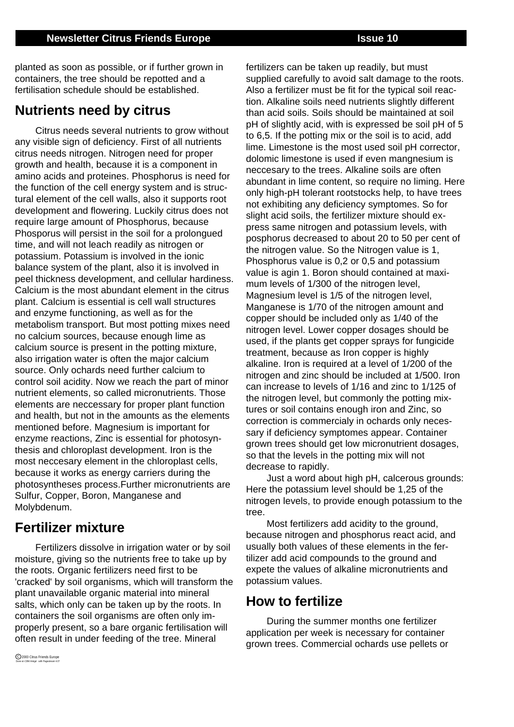fertilizers can be taken up readily, but must

planted as soon as possible, or if further grown in containers, the tree should be repotted and a fertilisation schedule should be established.

# **Nutrients need by citrus**

Citrus needs several nutrients to grow without any visible sign of deficiency. First of all nutrients citrus needs nitrogen. Nitrogen need for proper growth and health, because it is a component in amino acids and proteines. Phosphorus is need for the function of the cell energy system and is structural element of the cell walls, also it supports root development and flowering. Luckily citrus does not require large amount of Phosphorus, because Phosporus will persist in the soil for a prolongued time, and will not leach readily as nitrogen or potassium. Potassium is involved in the ionic balance system of the plant, also it is involved in peel thickness development, and cellular hardiness. Calcium is the most abundant element in the citrus plant. Calcium is essential is cell wall structures and enzyme functioning, as well as for the metabolism transport. But most potting mixes need no calcium sources, because enough lime as calcium source is present in the potting mixture, also irrigation water is often the major calcium source. Only ochards need further calcium to control soil acidity. Now we reach the part of minor nutrient elements, so called micronutrients. Those elements are neccessary for proper plant function and health, but not in the amounts as the elements mentioned before. Magnesium is important for enzyme reactions, Zinc is essential for photosynthesis and chloroplast development. Iron is the most neccesary element in the chloroplast cells, because it works as energy carriers during the photosyntheses process.Further micronutrients are Sulfur, Copper, Boron, Manganese and Molybdenum.

# **Fertilizer mixture**

Fertilizers dissolve in irrigation water or by soil moisture, giving so the nutrients free to take up by the roots. Organic fertilizers need first to be 'cracked' by soil organisms, which will transform the plant unavailable organic material into mineral salts, which only can be taken up by the roots. In containers the soil organisms are often only improperly present, so a bare organic fertilisation will often result in under feeding of the tree. Mineral

supplied carefully to avoid salt damage to the roots. Also a fertilizer must be fit for the typical soil reaction. Alkaline soils need nutrients slightly different than acid soils. Soils should be maintained at soil pH of slightly acid, with is expressed be soil pH of 5 to 6,5. If the potting mix or the soil is to acid, add lime. Limestone is the most used soil pH corrector, dolomic limestone is used if even mangnesium is neccesary to the trees. Alkaline soils are often abundant in lime content, so require no liming. Here only high-pH tolerant rootstocks help, to have trees not exhibiting any deficiency symptomes. So for slight acid soils, the fertilizer mixture should express same nitrogen and potassium levels, with posphorus decreased to about 20 to 50 per cent of the nitrogen value. So the Nitrogen value is 1, Phosphorus value is 0,2 or 0,5 and potassium value is agin 1. Boron should contained at maximum levels of 1/300 of the nitrogen level, Magnesium level is 1/5 of the nitrogen level, Manganese is 1/70 of the nitrogen amount and copper should be included only as 1/40 of the nitrogen level. Lower copper dosages should be used, if the plants get copper sprays for fungicide treatment, because as Iron copper is highly alkaline. Iron is required at a level of 1/200 of the nitrogen and zinc should be included at 1/500. Iron can increase to levels of 1/16 and zinc to 1/125 of the nitrogen level, but commonly the potting mixtures or soil contains enough iron and Zinc, so correction is commercialy in ochards only necessary if deficiency symptomes appear. Container grown trees should get low micronutrient dosages,

decrease to rapidly. Just a word about high pH, calcerous grounds: Here the potassium level should be 1,25 of the nitrogen levels, to provide enough potassium to the tree.

so that the levels in the potting mix will not

Most fertilizers add acidity to the ground, because nitrogen and phosphorus react acid, and usually both values of these elements in the fertilizer add acid compounds to the ground and expete the values of alkaline micronutrients and potassium values.

# **How to fertilize**

During the summer months one fertilizer application per week is necessary for container grown trees. Commercial ochards use pellets or